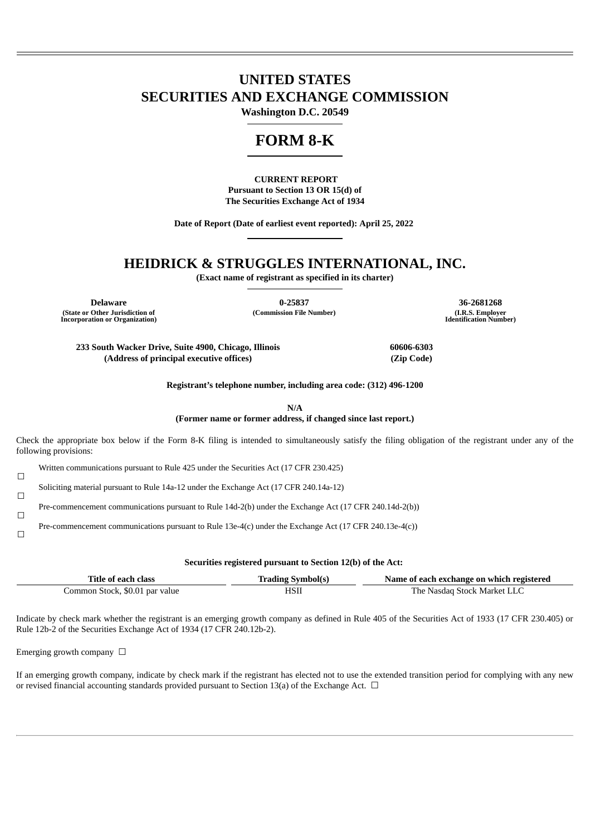# **UNITED STATES SECURITIES AND EXCHANGE COMMISSION**

**Washington D.C. 20549**

# **FORM 8-K**

#### **CURRENT REPORT Pursuant to Section 13 OR 15(d) of The Securities Exchange Act of 1934**

**Date of Report (Date of earliest event reported): April 25, 2022**

# **HEIDRICK & STRUGGLES INTERNATIONAL, INC.**

**(Exact name of registrant as specified in its charter)**

**(State or Other Jurisdiction of Incorporation or Organization)**

**Delaware 0-25837 36-2681268 (Commission File Number) (I.R.S. Employer**

**Identification Number)**

**233 South Wacker Drive, Suite 4900, Chicago, Illinois 60606-6303 (Address of principal executive offices) (Zip Code)**

**Registrant's telephone number, including area code: (312) 496-1200**

**N/A**

**(Former name or former address, if changed since last report.)**

Check the appropriate box below if the Form 8-K filing is intended to simultaneously satisfy the filing obligation of the registrant under any of the following provisions:

☐ Written communications pursuant to Rule 425 under the Securities Act (17 CFR 230.425)

 $\Box$ Soliciting material pursuant to Rule 14a-12 under the Exchange Act (17 CFR 240.14a-12)

 $\Box$ Pre-commencement communications pursuant to Rule 14d-2(b) under the Exchange Act (17 CFR 240.14d-2(b))

 $\Box$ Pre-commencement communications pursuant to Rule 13e-4(c) under the Exchange Act (17 CFR 240.13e-4(c))

**Securities registered pursuant to Section 12(b) of the Act:**

| Title of each class            | <b>Trading Symbol(s)</b> | Name of each exchange on which registered |
|--------------------------------|--------------------------|-------------------------------------------|
| Common Stock, \$0.01 par value | HSII                     | The Nasdag Stock Market LLC               |

Indicate by check mark whether the registrant is an emerging growth company as defined in Rule 405 of the Securities Act of 1933 (17 CFR 230.405) or Rule 12b-2 of the Securities Exchange Act of 1934 (17 CFR 240.12b-2).

Emerging growth company  $\Box$ 

If an emerging growth company, indicate by check mark if the registrant has elected not to use the extended transition period for complying with any new or revised financial accounting standards provided pursuant to Section 13(a) of the Exchange Act.  $\Box$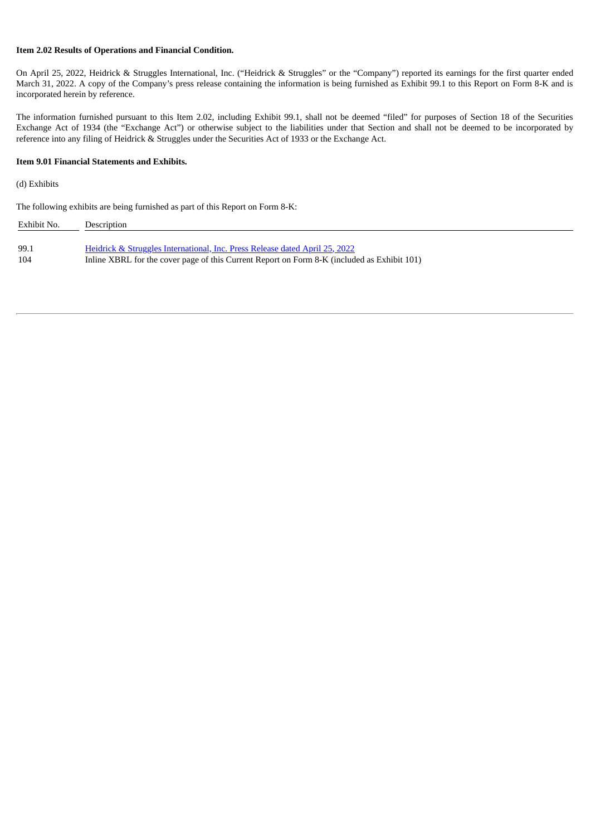## **Item 2.02 Results of Operations and Financial Condition.**

On April 25, 2022, Heidrick & Struggles International, Inc. ("Heidrick & Struggles" or the "Company") reported its earnings for the first quarter ended March 31, 2022. A copy of the Company's press release containing the information is being furnished as Exhibit 99.1 to this Report on Form 8-K and is incorporated herein by reference.

The information furnished pursuant to this Item 2.02, including Exhibit 99.1, shall not be deemed "filed" for purposes of Section 18 of the Securities Exchange Act of 1934 (the "Exchange Act") or otherwise subject to the liabilities under that Section and shall not be deemed to be incorporated by reference into any filing of Heidrick & Struggles under the Securities Act of 1933 or the Exchange Act.

#### **Item 9.01 Financial Statements and Exhibits.**

# (d) Exhibits

The following exhibits are being furnished as part of this Report on Form 8-K:

| Exhibit No. | Description                                                                                 |
|-------------|---------------------------------------------------------------------------------------------|
| 99.1        | Heidrick & Struggles International, Inc. Press Release dated April 25, 2022                 |
| 104         | Inline XBRL for the cover page of this Current Report on Form 8-K (included as Exhibit 101) |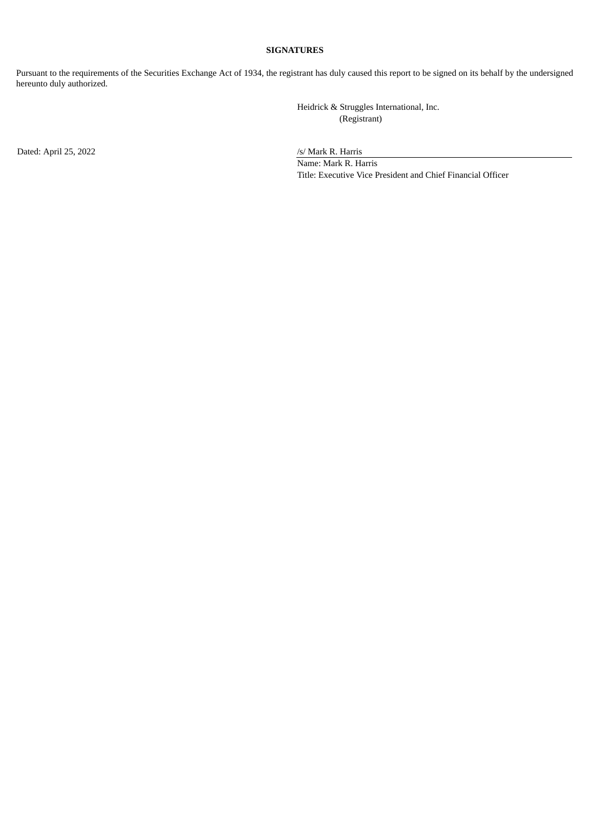# **SIGNATURES**

Pursuant to the requirements of the Securities Exchange Act of 1934, the registrant has duly caused this report to be signed on its behalf by the undersigned hereunto duly authorized.

> Heidrick & Struggles International, Inc. (Registrant)

Dated: April 25, 2022 /s/ Mark R. Harris

Name: Mark R. Harris Title: Executive Vice President and Chief Financial Officer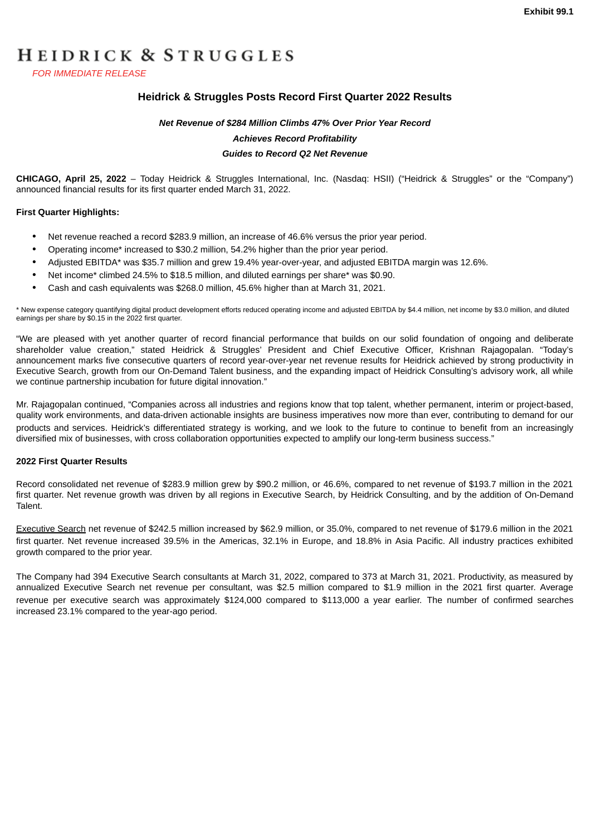# <span id="page-3-0"></span>HEIDRICK & STRUGGLES

*FOR IMMEDIATE RELEASE*

# **Heidrick & Struggles Posts Record First Quarter 2022 Results**

# *Net Revenue of \$284 Million Climbs 47% Over Prior Year Record Achieves Record Profitability Guides to Record Q2 Net Revenue*

**CHICAGO, April 25, 2022** – Today Heidrick & Struggles International, Inc. (Nasdaq: HSII) ("Heidrick & Struggles" or the "Company") announced financial results for its first quarter ended March 31, 2022.

#### **First Quarter Highlights:**

- Net revenue reached a record \$283.9 million, an increase of 46.6% versus the prior year period.
- Operating income\* increased to \$30.2 million, 54.2% higher than the prior year period.
- Adjusted EBITDA\* was \$35.7 million and grew 19.4% year-over-year, and adjusted EBITDA margin was 12.6%.
- Net income\* climbed 24.5% to \$18.5 million, and diluted earnings per share\* was \$0.90.
- Cash and cash equivalents was \$268.0 million, 45.6% higher than at March 31, 2021.

\* New expense category quantifying digital product development efforts reduced operating income and adjusted EBITDA by \$4.4 million, net income by \$3.0 million, and diluted earnings per share by \$0.15 in the 2022 first quarter.

"We are pleased with yet another quarter of record financial performance that builds on our solid foundation of ongoing and deliberate shareholder value creation," stated Heidrick & Struggles' President and Chief Executive Officer, Krishnan Rajagopalan. "Today's announcement marks five consecutive quarters of record year-over-year net revenue results for Heidrick achieved by strong productivity in Executive Search, growth from our On-Demand Talent business, and the expanding impact of Heidrick Consulting's advisory work, all while we continue partnership incubation for future digital innovation."

Mr. Rajagopalan continued, "Companies across all industries and regions know that top talent, whether permanent, interim or project-based, quality work environments, and data-driven actionable insights are business imperatives now more than ever, contributing to demand for our products and services. Heidrick's differentiated strategy is working, and we look to the future to continue to benefit from an increasingly diversified mix of businesses, with cross collaboration opportunities expected to amplify our long-term business success."

#### **2022 First Quarter Results**

Record consolidated net revenue of \$283.9 million grew by \$90.2 million, or 46.6%, compared to net revenue of \$193.7 million in the 2021 first quarter. Net revenue growth was driven by all regions in Executive Search, by Heidrick Consulting, and by the addition of On-Demand Talent.

Executive Search net revenue of \$242.5 million increased by \$62.9 million, or 35.0%, compared to net revenue of \$179.6 million in the 2021 first quarter. Net revenue increased 39.5% in the Americas, 32.1% in Europe, and 18.8% in Asia Pacific. All industry practices exhibited growth compared to the prior year.

The Company had 394 Executive Search consultants at March 31, 2022, compared to 373 at March 31, 2021. Productivity, as measured by annualized Executive Search net revenue per consultant, was \$2.5 million compared to \$1.9 million in the 2021 first quarter. Average revenue per executive search was approximately \$124,000 compared to \$113,000 a year earlier. The number of confirmed searches increased 23.1% compared to the year-ago period.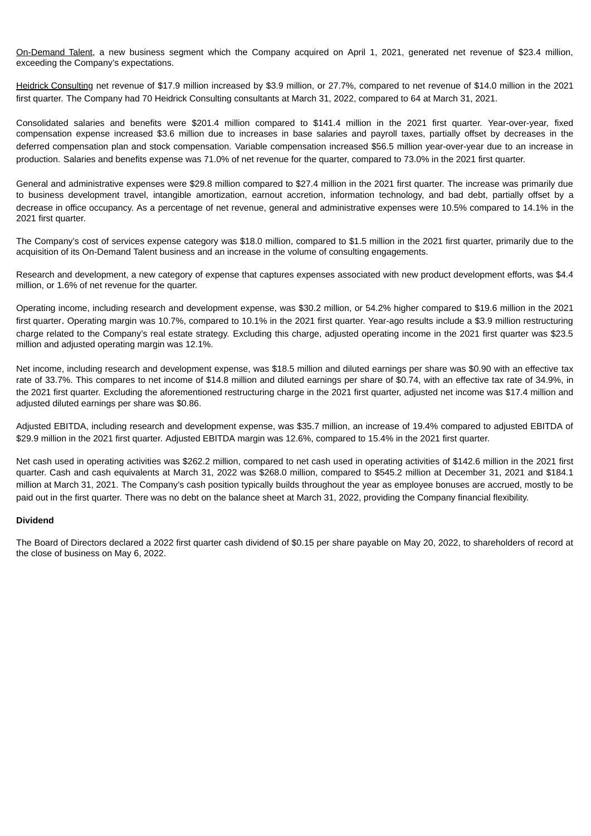On-Demand Talent, a new business segment which the Company acquired on April 1, 2021, generated net revenue of \$23.4 million, exceeding the Company's expectations.

Heidrick Consulting net revenue of \$17.9 million increased by \$3.9 million, or 27.7%, compared to net revenue of \$14.0 million in the 2021 first quarter. The Company had 70 Heidrick Consulting consultants at March 31, 2022, compared to 64 at March 31, 2021.

Consolidated salaries and benefits were \$201.4 million compared to \$141.4 million in the 2021 first quarter. Year-over-year, fixed compensation expense increased \$3.6 million due to increases in base salaries and payroll taxes, partially offset by decreases in the deferred compensation plan and stock compensation. Variable compensation increased \$56.5 million year-over-year due to an increase in production. Salaries and benefits expense was 71.0% of net revenue for the quarter, compared to 73.0% in the 2021 first quarter.

General and administrative expenses were \$29.8 million compared to \$27.4 million in the 2021 first quarter. The increase was primarily due to business development travel, intangible amortization, earnout accretion, information technology, and bad debt, partially offset by a decrease in office occupancy. As a percentage of net revenue, general and administrative expenses were 10.5% compared to 14.1% in the 2021 first quarter.

The Company's cost of services expense category was \$18.0 million, compared to \$1.5 million in the 2021 first quarter, primarily due to the acquisition of its On-Demand Talent business and an increase in the volume of consulting engagements.

Research and development, a new category of expense that captures expenses associated with new product development efforts, was \$4.4 million, or 1.6% of net revenue for the quarter.

Operating income, including research and development expense, was \$30.2 million, or 54.2% higher compared to \$19.6 million in the 2021 first quarter. Operating margin was 10.7%, compared to 10.1% in the 2021 first quarter. Year-ago results include a \$3.9 million restructuring charge related to the Company's real estate strategy. Excluding this charge, adjusted operating income in the 2021 first quarter was \$23.5 million and adjusted operating margin was 12.1%.

Net income, including research and development expense, was \$18.5 million and diluted earnings per share was \$0.90 with an effective tax rate of 33.7%. This compares to net income of \$14.8 million and diluted earnings per share of \$0.74, with an effective tax rate of 34.9%, in the 2021 first quarter. Excluding the aforementioned restructuring charge in the 2021 first quarter, adjusted net income was \$17.4 million and adjusted diluted earnings per share was \$0.86.

Adjusted EBITDA, including research and development expense, was \$35.7 million, an increase of 19.4% compared to adjusted EBITDA of \$29.9 million in the 2021 first quarter. Adjusted EBITDA margin was 12.6%, compared to 15.4% in the 2021 first quarter.

Net cash used in operating activities was \$262.2 million, compared to net cash used in operating activities of \$142.6 million in the 2021 first quarter. Cash and cash equivalents at March 31, 2022 was \$268.0 million, compared to \$545.2 million at December 31, 2021 and \$184.1 million at March 31, 2021. The Company's cash position typically builds throughout the year as employee bonuses are accrued, mostly to be paid out in the first quarter. There was no debt on the balance sheet at March 31, 2022, providing the Company financial flexibility.

#### **Dividend**

The Board of Directors declared a 2022 first quarter cash dividend of \$0.15 per share payable on May 20, 2022, to shareholders of record at the close of business on May 6, 2022.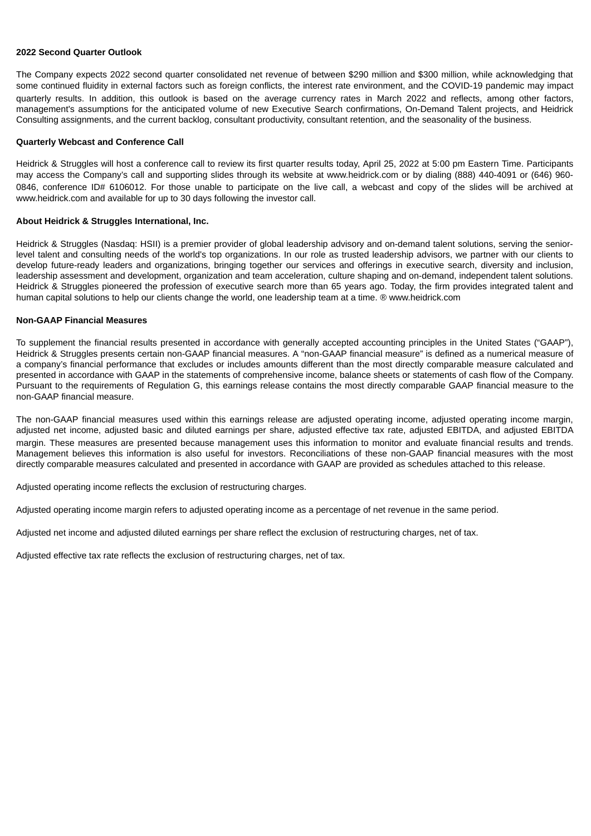#### **2022 Second Quarter Outlook**

The Company expects 2022 second quarter consolidated net revenue of between \$290 million and \$300 million, while acknowledging that some continued fluidity in external factors such as foreign conflicts, the interest rate environment, and the COVID-19 pandemic may impact quarterly results. In addition, this outlook is based on the average currency rates in March 2022 and reflects, among other factors, management's assumptions for the anticipated volume of new Executive Search confirmations, On-Demand Talent projects, and Heidrick Consulting assignments, and the current backlog, consultant productivity, consultant retention, and the seasonality of the business.

#### **Quarterly Webcast and Conference Call**

Heidrick & Struggles will host a conference call to review its first quarter results today, April 25, 2022 at 5:00 pm Eastern Time. Participants may access the Company's call and supporting slides through its website at www.heidrick.com or by dialing (888) 440-4091 or (646) 960- 0846. conference ID# 6106012. For those unable to participate on the live call, a webcast and copy of the slides will be archived at www.heidrick.com and available for up to 30 days following the investor call.

#### **About Heidrick & Struggles International, Inc.**

Heidrick & Struggles (Nasdaq: HSII) is a premier provider of global leadership advisory and on-demand talent solutions, serving the seniorlevel talent and consulting needs of the world's top organizations. In our role as trusted leadership advisors, we partner with our clients to develop future-ready leaders and organizations, bringing together our services and offerings in executive search, diversity and inclusion, leadership assessment and development, organization and team acceleration, culture shaping and on-demand, independent talent solutions. Heidrick & Struggles pioneered the profession of executive search more than 65 years ago. Today, the firm provides integrated talent and human capital solutions to help our clients change the world, one leadership team at a time. ® www.heidrick.com

#### **Non-GAAP Financial Measures**

To supplement the financial results presented in accordance with generally accepted accounting principles in the United States ("GAAP"), Heidrick & Struggles presents certain non-GAAP financial measures. A "non-GAAP financial measure" is defined as a numerical measure of a company's financial performance that excludes or includes amounts different than the most directly comparable measure calculated and presented in accordance with GAAP in the statements of comprehensive income, balance sheets or statements of cash flow of the Company. Pursuant to the requirements of Regulation G, this earnings release contains the most directly comparable GAAP financial measure to the non-GAAP financial measure.

The non-GAAP financial measures used within this earnings release are adjusted operating income, adjusted operating income margin, adjusted net income, adjusted basic and diluted earnings per share, adjusted effective tax rate, adjusted EBITDA, and adjusted EBITDA margin. These measures are presented because management uses this information to monitor and evaluate financial results and trends. Management believes this information is also useful for investors. Reconciliations of these non-GAAP financial measures with the most directly comparable measures calculated and presented in accordance with GAAP are provided as schedules attached to this release.

Adjusted operating income reflects the exclusion of restructuring charges.

Adjusted operating income margin refers to adjusted operating income as a percentage of net revenue in the same period.

Adjusted net income and adjusted diluted earnings per share reflect the exclusion of restructuring charges, net of tax.

Adjusted effective tax rate reflects the exclusion of restructuring charges, net of tax.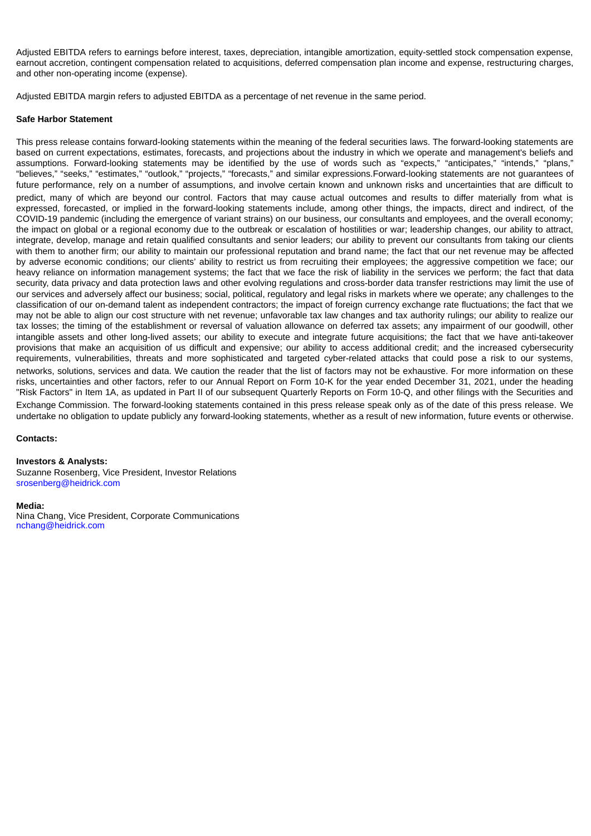Adjusted EBITDA refers to earnings before interest, taxes, depreciation, intangible amortization, equity-settled stock compensation expense, earnout accretion, contingent compensation related to acquisitions, deferred compensation plan income and expense, restructuring charges, and other non-operating income (expense).

Adjusted EBITDA margin refers to adjusted EBITDA as a percentage of net revenue in the same period.

#### **Safe Harbor Statement**

This press release contains forward-looking statements within the meaning of the federal securities laws. The forward-looking statements are based on current expectations, estimates, forecasts, and projections about the industry in which we operate and management's beliefs and assumptions. Forward-looking statements may be identified by the use of words such as "expects," "anticipates," "intends," "plans," "believes," "seeks," "estimates," "outlook," "projects," "forecasts," and similar expressions.Forward-looking statements are not guarantees of future performance, rely on a number of assumptions, and involve certain known and unknown risks and uncertainties that are difficult to predict, many of which are beyond our control. Factors that may cause actual outcomes and results to differ materially from what is expressed, forecasted, or implied in the forward-looking statements include, among other things, the impacts, direct and indirect, of the COVID-19 pandemic (including the emergence of variant strains) on our business, our consultants and employees, and the overall economy; the impact on global or a regional economy due to the outbreak or escalation of hostilities or war; leadership changes, our ability to attract, integrate, develop, manage and retain qualified consultants and senior leaders; our ability to prevent our consultants from taking our clients with them to another firm; our ability to maintain our professional reputation and brand name; the fact that our net revenue may be affected by adverse economic conditions; our clients' ability to restrict us from recruiting their employees; the aggressive competition we face; our heavy reliance on information management systems; the fact that we face the risk of liability in the services we perform; the fact that data security, data privacy and data protection laws and other evolving regulations and cross-border data transfer restrictions may limit the use of our services and adversely affect our business; social, political, regulatory and legal risks in markets where we operate; any challenges to the classification of our on-demand talent as independent contractors; the impact of foreign currency exchange rate fluctuations; the fact that we may not be able to align our cost structure with net revenue; unfavorable tax law changes and tax authority rulings; our ability to realize our tax losses; the timing of the establishment or reversal of valuation allowance on deferred tax assets; any impairment of our goodwill, other intangible assets and other long-lived assets; our ability to execute and integrate future acquisitions; the fact that we have anti-takeover provisions that make an acquisition of us difficult and expensive; our ability to access additional credit; and the increased cybersecurity requirements, vulnerabilities, threats and more sophisticated and targeted cyber-related attacks that could pose a risk to our systems, networks, solutions, services and data. We caution the reader that the list of factors may not be exhaustive. For more information on these risks, uncertainties and other factors, refer to our Annual Report on Form 10-K for the year ended December 31, 2021, under the heading "Risk Factors" in Item 1A, as updated in Part II of our subsequent Quarterly Reports on Form 10-Q, and other filings with the Securities and Exchange Commission. The forward-looking statements contained in this press release speak only as of the date of this press release. We undertake no obligation to update publicly any forward-looking statements, whether as a result of new information, future events or otherwise.

## **Contacts:**

#### **Investors & Analysts:**

Suzanne Rosenberg, Vice President, Investor Relations srosenberg@heidrick.com

#### **Media:**

Nina Chang, Vice President, Corporate Communications nchang@heidrick.com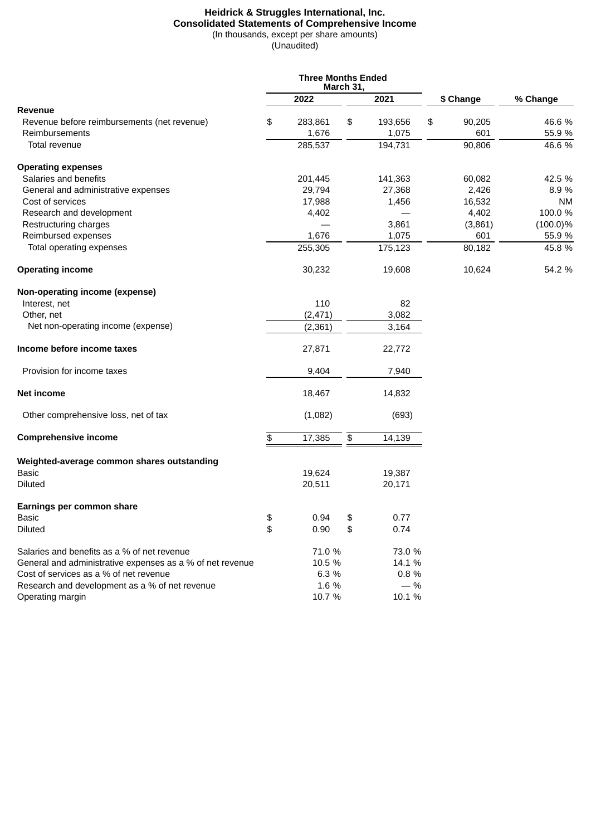#### **Heidrick & Struggles International, Inc. Consolidated Statements of Comprehensive Income** (In thousands, except per share amounts)

(Unaudited)

|                                                            | <b>Three Months Ended</b><br><b>March 31,</b> |          |               |              |             |  |
|------------------------------------------------------------|-----------------------------------------------|----------|---------------|--------------|-------------|--|
|                                                            |                                               | 2022     | 2021          | \$ Change    | % Change    |  |
| <b>Revenue</b>                                             |                                               |          |               |              |             |  |
| Revenue before reimbursements (net revenue)                | \$                                            | 283,861  | \$<br>193,656 | \$<br>90,205 | 46.6 %      |  |
| Reimbursements                                             |                                               | 1,676    | 1,075         | 601          | 55.9 %      |  |
| Total revenue                                              |                                               | 285,537  | 194,731       | 90,806       | 46.6 %      |  |
| <b>Operating expenses</b>                                  |                                               |          |               |              |             |  |
| Salaries and benefits                                      |                                               | 201,445  | 141,363       | 60,082       | 42.5 %      |  |
| General and administrative expenses                        |                                               | 29,794   | 27,368        | 2,426        | 8.9 %       |  |
| Cost of services                                           |                                               | 17,988   | 1,456         | 16,532       | <b>NM</b>   |  |
| Research and development                                   |                                               | 4,402    |               | 4,402        | 100.0 %     |  |
| Restructuring charges                                      |                                               |          | 3,861         | (3,861)      | $(100.0)\%$ |  |
| Reimbursed expenses                                        |                                               | 1,676    | 1,075         | 601          | 55.9 %      |  |
| Total operating expenses                                   |                                               | 255,305  | 175,123       | 80,182       | 45.8 %      |  |
| <b>Operating income</b>                                    |                                               | 30,232   | 19,608        | 10,624       | 54.2 %      |  |
| Non-operating income (expense)                             |                                               |          |               |              |             |  |
| Interest, net                                              |                                               | 110      | 82            |              |             |  |
| Other, net                                                 |                                               | (2,471)  | 3,082         |              |             |  |
| Net non-operating income (expense)                         |                                               | (2, 361) | 3,164         |              |             |  |
| Income before income taxes                                 |                                               | 27,871   | 22,772        |              |             |  |
| Provision for income taxes                                 |                                               | 9,404    | 7,940         |              |             |  |
| Net income                                                 |                                               | 18,467   | 14,832        |              |             |  |
| Other comprehensive loss, net of tax                       |                                               | (1,082)  | (693)         |              |             |  |
| <b>Comprehensive income</b>                                | \$                                            | 17,385   | \$<br>14,139  |              |             |  |
|                                                            |                                               |          |               |              |             |  |
| Weighted-average common shares outstanding<br><b>Basic</b> |                                               | 19,624   | 19,387        |              |             |  |
| <b>Diluted</b>                                             |                                               | 20,511   | 20,171        |              |             |  |
| Earnings per common share                                  |                                               |          |               |              |             |  |
| Basic                                                      | \$                                            | 0.94     | \$<br>0.77    |              |             |  |
| Diluted                                                    | \$                                            | 0.90     | \$<br>0.74    |              |             |  |
| Salaries and benefits as a % of net revenue                |                                               | 71.0 %   | 73.0 %        |              |             |  |
| General and administrative expenses as a % of net revenue  |                                               | 10.5 %   | 14.1 %        |              |             |  |
| Cost of services as a % of net revenue                     |                                               | 6.3 %    | 0.8 %         |              |             |  |
| Research and development as a % of net revenue             |                                               | 1.6 %    | $-$ %         |              |             |  |
| Operating margin                                           |                                               | 10.7 %   | 10.1 %        |              |             |  |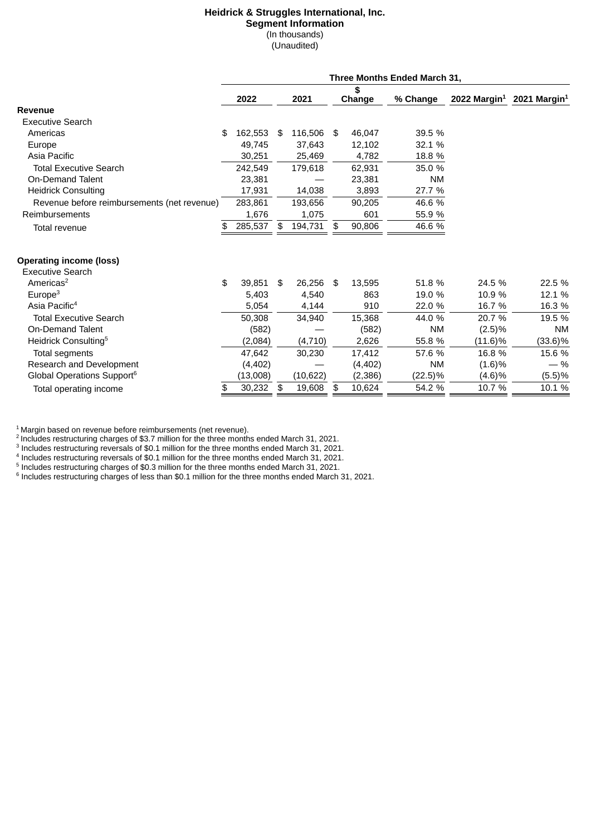# **Heidrick & Struggles International, Inc. Segment Information** (In thousands)

(Unaudited)

|                                             | Three Months Ended March 31. |          |    |           |    |              |            |            |                                                   |
|---------------------------------------------|------------------------------|----------|----|-----------|----|--------------|------------|------------|---------------------------------------------------|
|                                             |                              | 2022     |    | 2021      |    | \$<br>Change | % Change   |            | 2022 Margin <sup>1</sup> 2021 Margin <sup>1</sup> |
| Revenue                                     |                              |          |    |           |    |              |            |            |                                                   |
| <b>Executive Search</b>                     |                              |          |    |           |    |              |            |            |                                                   |
| Americas                                    | \$                           | 162,553  | \$ | 116,506   | \$ | 46,047       | 39.5 %     |            |                                                   |
| Europe                                      |                              | 49.745   |    | 37,643    |    | 12,102       | 32.1 %     |            |                                                   |
| Asia Pacific                                |                              | 30,251   |    | 25,469    |    | 4,782        | 18.8 %     |            |                                                   |
| <b>Total Executive Search</b>               |                              | 242,549  |    | 179,618   |    | 62,931       | 35.0 %     |            |                                                   |
| <b>On-Demand Talent</b>                     |                              | 23,381   |    |           |    | 23,381       | <b>NM</b>  |            |                                                   |
| <b>Heidrick Consulting</b>                  |                              | 17,931   |    | 14,038    |    | 3,893        | 27.7 %     |            |                                                   |
| Revenue before reimbursements (net revenue) |                              | 283,861  |    | 193,656   |    | 90,205       | 46.6 %     |            |                                                   |
| Reimbursements                              |                              | 1,676    |    | 1,075     |    | 601          | 55.9 %     |            |                                                   |
| Total revenue                               |                              | 285,537  | \$ | 194,731   | \$ | 90,806       | 46.6 %     |            |                                                   |
| <b>Operating income (loss)</b>              |                              |          |    |           |    |              |            |            |                                                   |
| <b>Executive Search</b>                     |                              |          |    |           |    |              |            |            |                                                   |
| Americas <sup>2</sup>                       | \$                           | 39.851   | \$ | 26,256    | \$ | 13,595       | 51.8 %     | 24.5 %     | 22.5 %                                            |
| Europe <sup>3</sup>                         |                              | 5,403    |    | 4,540     |    | 863          | 19.0 %     | 10.9 %     | 12.1 %                                            |
| Asia Pacific <sup>4</sup>                   |                              | 5,054    |    | 4,144     |    | 910          | 22.0 %     | 16.7 %     | 16.3 %                                            |
| <b>Total Executive Search</b>               |                              | 50,308   |    | 34,940    |    | 15,368       | 44.0 %     | 20.7 %     | 19.5 %                                            |
| <b>On-Demand Talent</b>                     |                              | (582)    |    |           |    | (582)        | <b>NM</b>  | $(2.5)\%$  | <b>NM</b>                                         |
| Heidrick Consulting <sup>5</sup>            |                              | (2,084)  |    | (4, 710)  |    | 2,626        | 55.8 %     | $(11.6)\%$ | $(33.6)\%$                                        |
| Total segments                              |                              | 47,642   |    | 30,230    |    | 17,412       | 57.6 %     | 16.8 %     | 15.6 %                                            |
| Research and Development                    |                              | (4, 402) |    |           |    | (4, 402)     | <b>NM</b>  | $(1.6)\%$  | $-$ %                                             |
| Global Operations Support <sup>6</sup>      |                              | (13,008) |    | (10, 622) |    | (2,386)      | $(22.5)\%$ | (4.6)%     | (5.5)%                                            |
| Total operating income                      | \$                           | 30,232   | \$ | 19,608    | \$ | 10,624       | 54.2 %     | 10.7 %     | 10.1 %                                            |

 $1$ Margin based on revenue before reimbursements (net revenue).

Includes restructuring charges of \$3.7 million for the three months ended March 31, 2021. 2

Includes restructuring reversals of \$0.1 million for the three months ended March 31, 2021. 3

Includes restructuring reversals of \$0.1 million for the three months ended March 31, 2021. 4

Includes restructuring charges of \$0.3 million for the three months ended March 31, 2021. 5

 $6$  Includes restructuring charges of less than \$0.1 million for the three months ended March 31, 2021.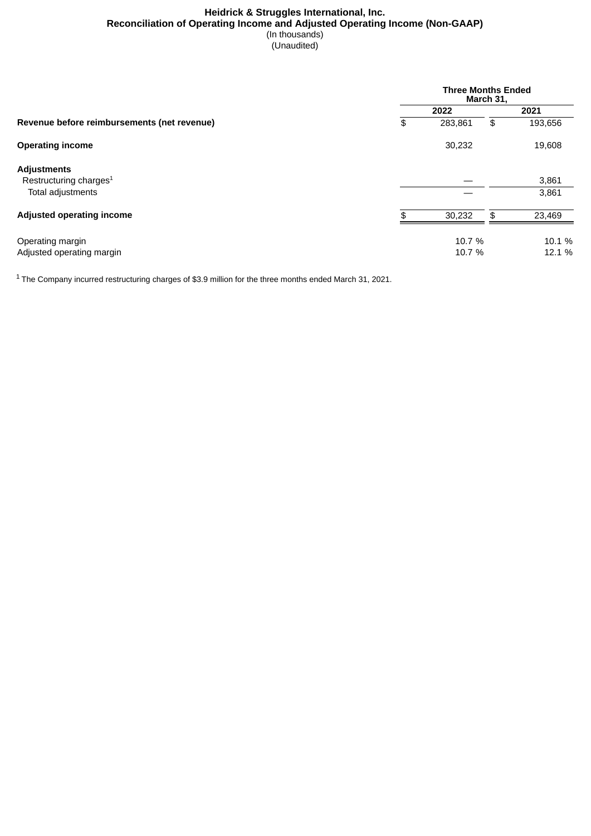## **Heidrick & Struggles International, Inc. Reconciliation of Operating Income and Adjusted Operating Income (Non-GAAP)** (In thousands) (Unaudited)

| Revenue before reimbursements (net revenue) | <b>Three Months Ended</b><br>March 31, |               |    |         |  |  |  |
|---------------------------------------------|----------------------------------------|---------------|----|---------|--|--|--|
|                                             |                                        | 2022          |    |         |  |  |  |
|                                             | \$                                     | 283,861<br>\$ |    | 193,656 |  |  |  |
| <b>Operating income</b>                     |                                        | 30,232        |    | 19,608  |  |  |  |
| <b>Adjustments</b>                          |                                        |               |    |         |  |  |  |
| Restructuring charges <sup>1</sup>          |                                        |               |    | 3,861   |  |  |  |
| Total adjustments                           |                                        |               |    | 3,861   |  |  |  |
| <b>Adjusted operating income</b>            |                                        | 30,232        | \$ | 23,469  |  |  |  |
| Operating margin                            |                                        | 10.7 %        |    | 10.1 %  |  |  |  |
| Adjusted operating margin                   |                                        | 10.7 %        |    | 12.1 %  |  |  |  |

 $1$  The Company incurred restructuring charges of \$3.9 million for the three months ended March 31, 2021.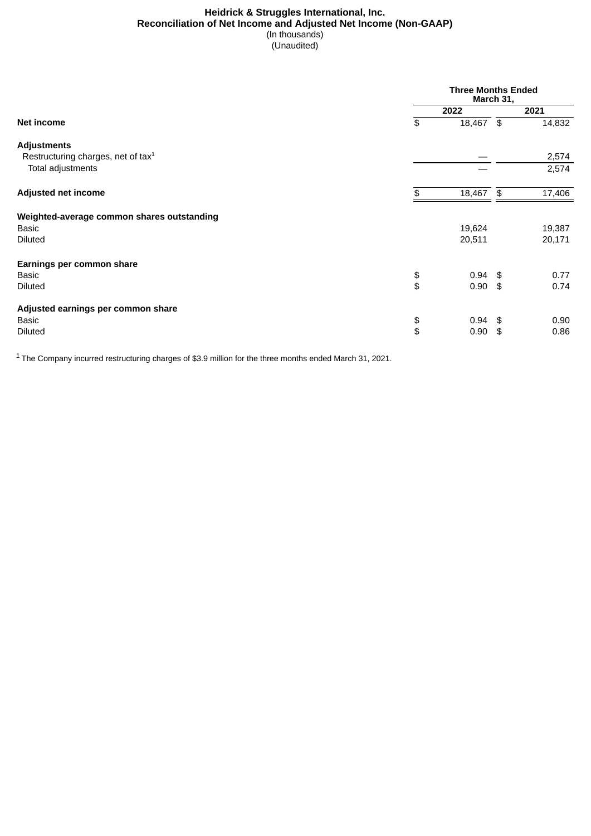## **Heidrick & Struggles International, Inc. Reconciliation of Net Income and Adjusted Net Income (Non-GAAP)** (In thousands) (Unaudited)

|                                                                       | <b>Three Months Ended</b><br>March 31, |                  |                  |  |  |  |
|-----------------------------------------------------------------------|----------------------------------------|------------------|------------------|--|--|--|
|                                                                       |                                        | 2022             | 2021             |  |  |  |
| Net income                                                            | \$                                     | 18,467 \$        | 14,832           |  |  |  |
| <b>Adjustments</b>                                                    |                                        |                  |                  |  |  |  |
| Restructuring charges, net of tax <sup>1</sup>                        |                                        |                  | 2,574            |  |  |  |
| Total adjustments                                                     |                                        |                  | 2,574            |  |  |  |
| Adjusted net income                                                   | \$                                     | 18,467<br>\$     | 17,406           |  |  |  |
| Weighted-average common shares outstanding<br>Basic<br><b>Diluted</b> |                                        | 19,624<br>20,511 | 19,387<br>20,171 |  |  |  |
| Earnings per common share                                             |                                        |                  |                  |  |  |  |
| Basic                                                                 | \$                                     | $0.94$ \$        | 0.77             |  |  |  |
| <b>Diluted</b>                                                        | \$                                     | $0.90$ \$        | 0.74             |  |  |  |
| Adjusted earnings per common share                                    |                                        |                  |                  |  |  |  |
| <b>Basic</b>                                                          | \$                                     | $0.94$ \$        | 0.90             |  |  |  |
| <b>Diluted</b>                                                        | \$                                     | $0.90$ \$        | 0.86             |  |  |  |

 $1$  The Company incurred restructuring charges of \$3.9 million for the three months ended March 31, 2021.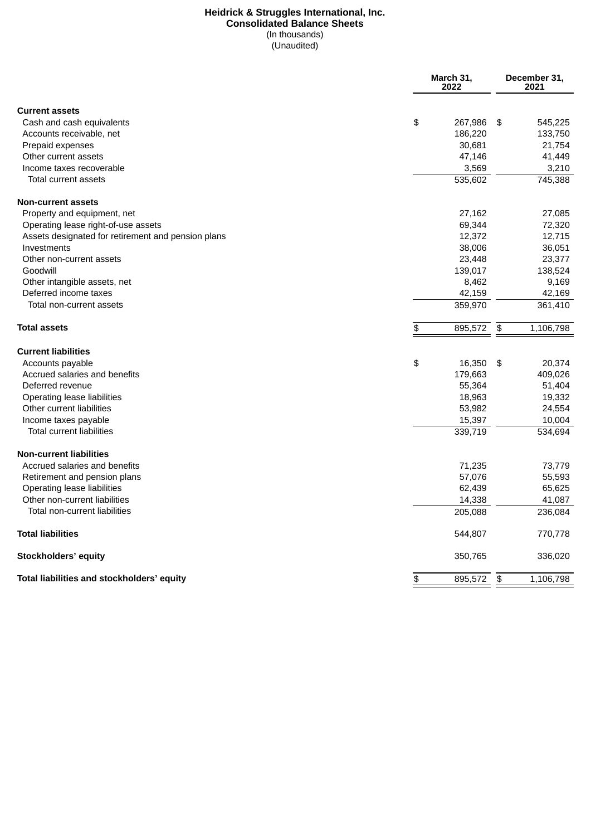## **Heidrick & Struggles International, Inc. Consolidated Balance Sheets** (In thousands) (Unaudited)

|                                                    | March 31,<br>2022 |    |           |
|----------------------------------------------------|-------------------|----|-----------|
| <b>Current assets</b>                              |                   |    |           |
| Cash and cash equivalents                          | \$<br>267,986     | \$ | 545,225   |
| Accounts receivable, net                           | 186,220           |    | 133,750   |
| <b>Prepaid expenses</b>                            | 30,681            |    | 21,754    |
| Other current assets                               | 47,146            |    | 41,449    |
| Income taxes recoverable                           | 3,569             |    | 3,210     |
| Total current assets                               | 535,602           |    | 745,388   |
| <b>Non-current assets</b>                          |                   |    |           |
| Property and equipment, net                        | 27,162            |    | 27,085    |
| Operating lease right-of-use assets                | 69,344            |    | 72,320    |
| Assets designated for retirement and pension plans | 12,372            |    | 12,715    |
| Investments                                        | 38,006            |    | 36,051    |
| Other non-current assets                           | 23,448            |    | 23,377    |
| Goodwill                                           | 139,017           |    | 138,524   |
| Other intangible assets, net                       | 8,462             |    | 9,169     |
| Deferred income taxes                              | 42,159            |    | 42,169    |
| Total non-current assets                           | 359,970           |    | 361,410   |
| <b>Total assets</b>                                | \$<br>895,572     | \$ | 1,106,798 |
| <b>Current liabilities</b>                         |                   |    |           |
| Accounts payable                                   | \$<br>16,350      | \$ | 20,374    |
| Accrued salaries and benefits                      | 179,663           |    | 409,026   |
| Deferred revenue                                   | 55,364            |    | 51,404    |
| Operating lease liabilities                        | 18,963            |    | 19,332    |
| Other current liabilities                          | 53,982            |    | 24,554    |
| Income taxes payable                               | 15,397            |    | 10,004    |
| <b>Total current liabilities</b>                   | 339,719           |    | 534,694   |
| <b>Non-current liabilities</b>                     |                   |    |           |
| Accrued salaries and benefits                      | 71,235            |    | 73,779    |
| Retirement and pension plans                       | 57,076            |    | 55,593    |
| Operating lease liabilities                        | 62,439            |    | 65,625    |
| Other non-current liabilities                      | 14,338            |    | 41,087    |
| Total non-current liabilities                      | 205,088           |    | 236,084   |
| <b>Total liabilities</b>                           | 544,807           |    | 770,778   |
| Stockholders' equity                               | 350,765           |    | 336,020   |
| Total liabilities and stockholders' equity         | \$<br>895,572     | \$ | 1,106,798 |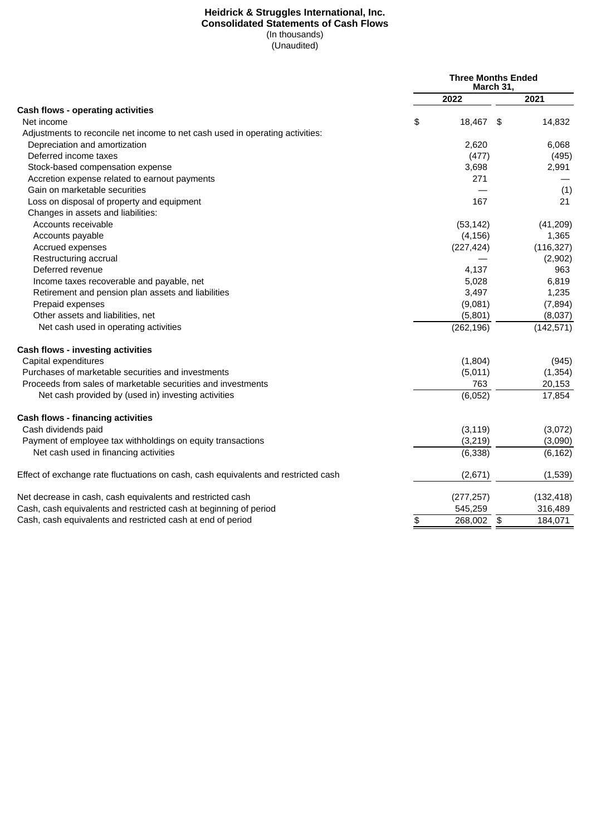#### **Heidrick & Struggles International, Inc. Consolidated Statements of Cash Flows** (In thousands) (Unaudited)

|                                                                                    | <b>Three Months Ended</b><br>March 31, |            |    |            |
|------------------------------------------------------------------------------------|----------------------------------------|------------|----|------------|
|                                                                                    |                                        | 2022       |    | 2021       |
| Cash flows - operating activities                                                  |                                        |            |    |            |
| Net income                                                                         | \$                                     | 18,467 \$  |    | 14,832     |
| Adjustments to reconcile net income to net cash used in operating activities:      |                                        |            |    |            |
| Depreciation and amortization                                                      |                                        | 2,620      |    | 6,068      |
| Deferred income taxes                                                              |                                        | (477)      |    | (495)      |
| Stock-based compensation expense                                                   |                                        | 3,698      |    | 2,991      |
| Accretion expense related to earnout payments                                      |                                        | 271        |    |            |
| Gain on marketable securities                                                      |                                        |            |    | (1)        |
| Loss on disposal of property and equipment                                         |                                        | 167        |    | 21         |
| Changes in assets and liabilities:                                                 |                                        |            |    |            |
| Accounts receivable                                                                |                                        | (53, 142)  |    | (41,209)   |
| Accounts payable                                                                   |                                        | (4, 156)   |    | 1,365      |
| Accrued expenses                                                                   |                                        | (227, 424) |    | (116, 327) |
| Restructuring accrual                                                              |                                        |            |    | (2,902)    |
| Deferred revenue                                                                   |                                        | 4,137      |    | 963        |
| Income taxes recoverable and payable, net                                          |                                        | 5,028      |    | 6,819      |
| Retirement and pension plan assets and liabilities                                 |                                        | 3,497      |    | 1,235      |
| Prepaid expenses                                                                   |                                        | (9,081)    |    | (7, 894)   |
| Other assets and liabilities, net                                                  |                                        | (5,801)    |    | (8,037)    |
| Net cash used in operating activities                                              |                                        | (262, 196) |    | (142, 571) |
| Cash flows - investing activities                                                  |                                        |            |    |            |
| Capital expenditures                                                               |                                        | (1,804)    |    | (945)      |
| Purchases of marketable securities and investments                                 |                                        | (5,011)    |    | (1, 354)   |
| Proceeds from sales of marketable securities and investments                       |                                        | 763        |    | 20,153     |
| Net cash provided by (used in) investing activities                                |                                        | (6,052)    |    | 17,854     |
| Cash flows - financing activities                                                  |                                        |            |    |            |
| Cash dividends paid                                                                |                                        | (3, 119)   |    | (3,072)    |
| Payment of employee tax withholdings on equity transactions                        |                                        | (3,219)    |    | (3,090)    |
| Net cash used in financing activities                                              |                                        | (6, 338)   |    | (6, 162)   |
| Effect of exchange rate fluctuations on cash, cash equivalents and restricted cash |                                        | (2,671)    |    | (1,539)    |
| Net decrease in cash, cash equivalents and restricted cash                         |                                        | (277, 257) |    | (132, 418) |
| Cash, cash equivalents and restricted cash at beginning of period                  |                                        | 545,259    |    | 316,489    |
| Cash, cash equivalents and restricted cash at end of period                        | \$                                     | 268,002    | \$ | 184,071    |